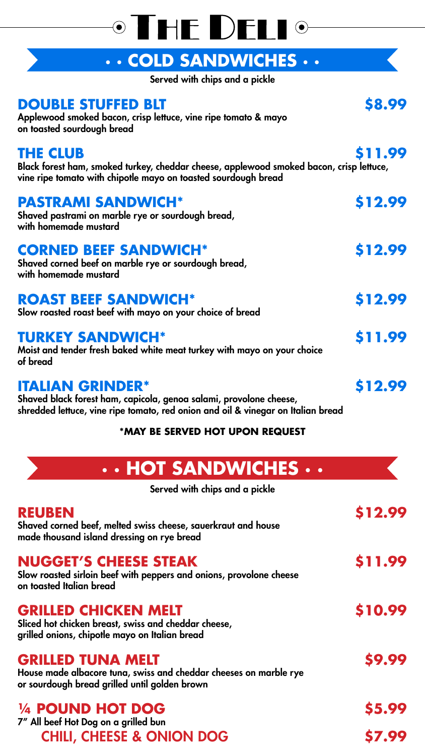Applewood smoked bacon, crisp lettuce, vine ripe tomato & mayo on toasted sourdough bread

#### **THE CLUB \$11.99**

Black forest ham, smoked turkey, cheddar cheese, applewood smoked bacon, crisp lettuce, vine ripe tomato with chipotle mayo on toasted sourdough bread

#### **PASTRAMI SANDWICH\* \$12.99**

Shaved pastrami on marble rye or sourdough bread, with homemade mustard

#### **CORNED BEEF SANDWICH\* \$12.99**

Shaved corned beef on marble rye or sourdough bread, with homemade mustard

#### **ROAST BEEF SANDWICH\* \$12.99**

Slow roasted roast beef with mayo on your choice of bread

#### **TURKEY SANDWICH\* \$11.99**

Moist and tender fresh baked white meat turkey with mayo on your choice

of bread

#### **ITALIAN GRINDER\* \$12.99**

Shaved black forest ham, capicola, genoa salami, provolone cheese, shredded lettuce, vine ripe tomato, red onion and oil & vinegar on Italian bread

#### **\*MAY BE SERVED HOT UPON REQUEST**

## OTHE DELIO

#### **· · COLD SANDWICHES · ·**

Served with chips and a pickle

#### **DOUBLE STUFFED BLT** \$8.99

Served with chips and a pickle

#### **REUBEN \$12.99**

Shaved corned beef, melted swiss cheese, sauerkraut and house made thousand island dressing on rye bread

#### **NUGGET'S CHEESE STEAK \$11.99**

Slow roasted sirloin beef with peppers and onions, provolone cheese on toasted Italian bread

#### **GRILLED CHICKEN MELT \$10.99**

Sliced hot chicken breast, swiss and cheddar cheese, grilled onions, chipotle mayo on Italian bread

#### **GRILLED TUNA MELT** 59.99

House made albacore tuna, swiss and cheddar cheeses on marble rye or sourdough bread grilled until golden brown

#### **¼ POUND HOT DOG \$5.99**











### **· · HOT SANDWICHES · ·**